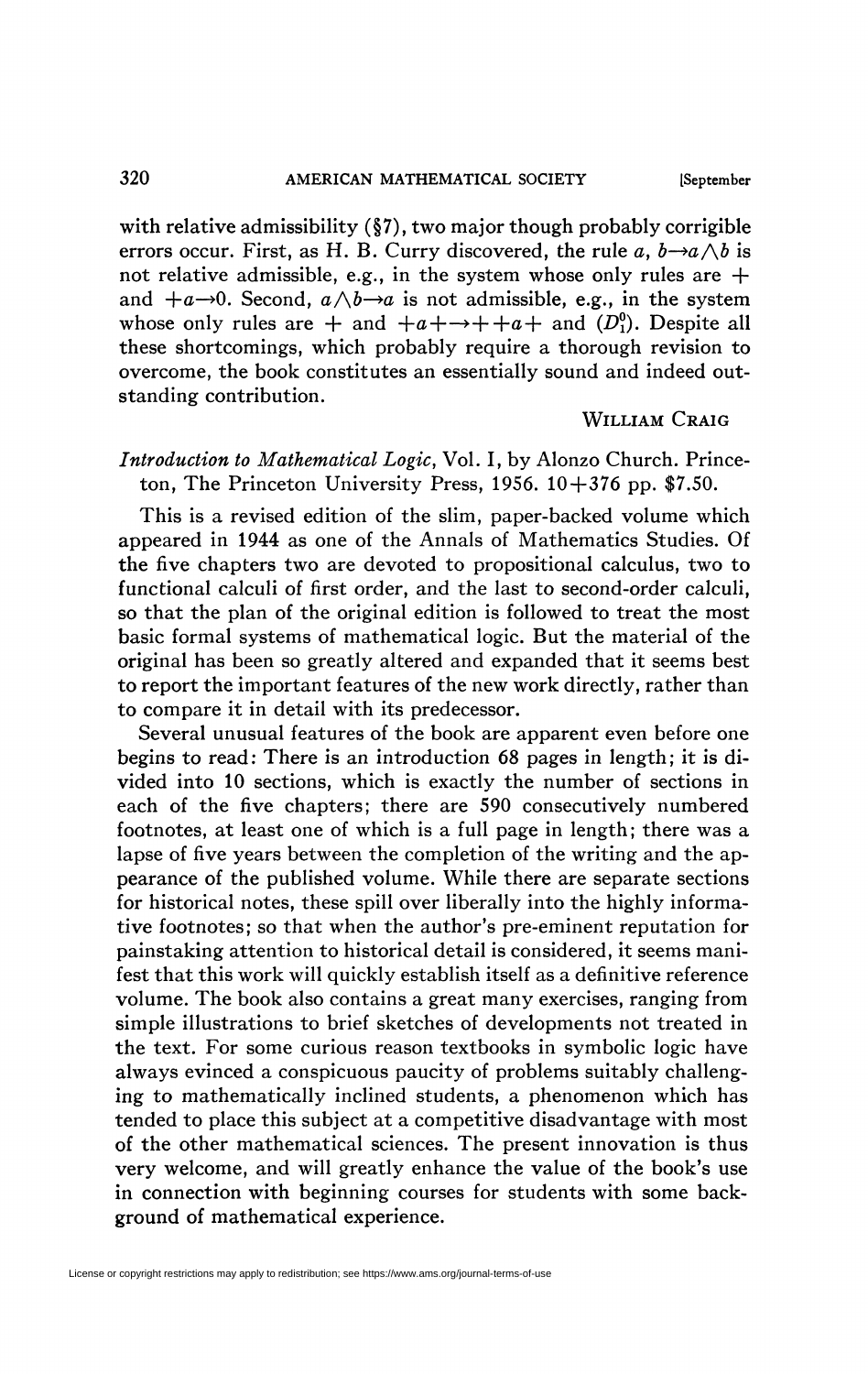with relative admissibility (§7), two major though probably corrigible errors occur. First, as H. B. Curry discovered, the rule a,  $b\rightarrow a\land b$  is not relative admissible, e.g., in the system whose only rules are  $+$ and  $+a\rightarrow 0$ . Second,  $a\wedge b\rightarrow a$  is not admissible, e.g., in the system whose only rules are  $+$  and  $+a+\rightarrow+a+a+$  and  $(D_1^0)$ . Despite all these shortcomings, which probably require a thorough revision to overcome, the book constitutes an essentially sound and indeed outstanding contribution.

### WILLIAM CRAIG

# *Introduction to Mathematical Logic,* Vol. I, by Alonzo Church. Princeton, The Princeton University Press, 1956.  $10+376$  pp. \$7.50.

This is a revised edition of the slim, paper-backed volume which appeared in 1944 as one of the Annals of Mathematics Studies. Of the five chapters two are devoted to propositional calculus, two to functional calculi of first order, and the last to second-order calculi, so that the plan of the original edition is followed to treat the most basic formal systems of mathematical logic. But the material of the original has been so greatly altered and expanded that it seems best to report the important features of the new work directly, rather than to compare it in detail with its predecessor.

Several unusual features of the book are apparent even before one begins to read: There is an introduction *68* pages in length; it is divided into 10 sections, which is exactly the number of sections in each of the five chapters; there are 590 consecutively numbered footnotes, at least one of which is a full page in length; there was a lapse of five years between the completion of the writing and the appearance of the published volume. While there are separate sections for historical notes, these spill over liberally into the highly informative footnotes; so that when the author's pre-eminent reputation for painstaking attention to historical detail is considered, it seems manifest that this work will quickly establish itself as a definitive reference volume. The book also contains a great many exercises, ranging from simple illustrations to brief sketches of developments not treated in the text. For some curious reason textbooks in symbolic logic have always evinced a conspicuous paucity of problems suitably challenging to mathematically inclined students, a phenomenon which has tended to place this subject at a competitive disadvantage with most of the other mathematical sciences. The present innovation is thus very welcome, and will greatly enhance the value of the book's use in connection with beginning courses for students with some background of mathematical experience.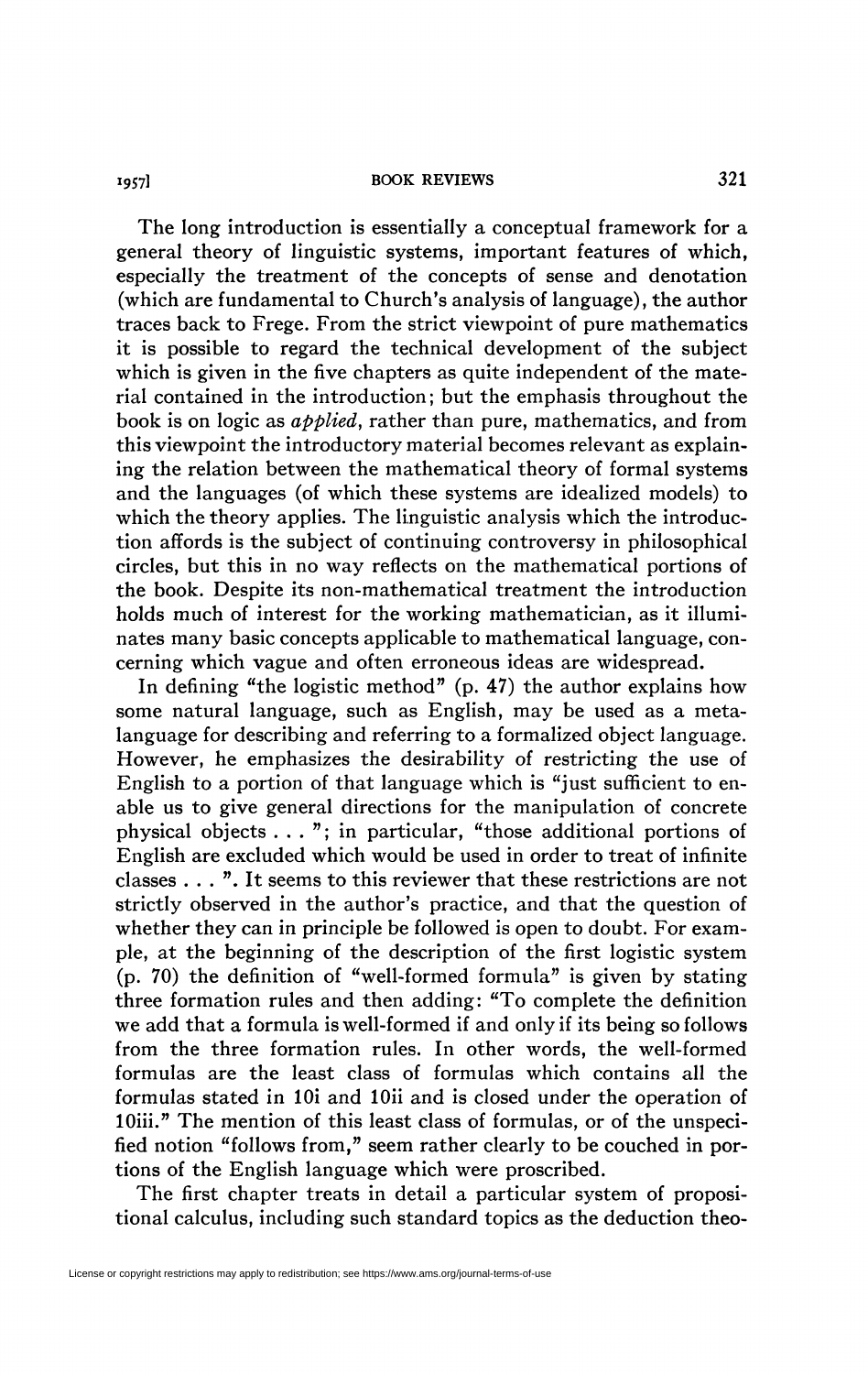#### **19571 BOOK REVIEWS** 321

The long introduction is essentially a conceptual framework for a general theory of linguistic systems, important features of which, especially the treatment of the concepts of sense and denotation (which are fundamental to Church's analysis of language), the author traces back to Frege. From the strict viewpoint of pure mathematics it is possible to regard the technical development of the subject which is given in the five chapters as quite independent of the material contained in the introduction ; but the emphasis throughout the book is on logic as *applied,* rather than pure, mathematics, and from this viewpoint the introductory material becomes relevant as explaining the relation between the mathematical theory of formal systems and the languages (of which these systems are idealized models) to which the theory applies. The linguistic analysis which the introduction affords is the subject of continuing controversy in philosophical circles, but this in no way reflects on the mathematical portions of the book. Despite its non-mathematical treatment the introduction holds much of interest for the working mathematician, as it illuminates many basic concepts applicable to mathematical language, concerning which vague and often erroneous ideas are widespread.

In defining "the logistic method" (p. 47) the author explains how some natural language, such as English, may be used as a metalanguage for describing and referring to a formalized object language. However, he emphasizes the desirability of restricting the use of English to a portion of that language which is "just sufficient to enable us to give general directions for the manipulation of concrete physical objects . . . "; in particular, "those additional portions of English are excluded which would be used in order to treat of infinite classes . . . ". It seems to this reviewer that these restrictions are not strictly observed in the author's practice, and that the question of whether they can in principle be followed is open to doubt. For example, at the beginning of the description of the first logistic system (p. 70) the definition of "well-formed formula" is given by stating three formation rules and then adding: "To complete the definition we add that a formula is well-formed if and only if its being so follows from the three formation rules. In other words, the well-formed formulas are the least class of formulas which contains all the formulas stated in lOi and lOii and is closed under the operation of 10iii." The mention of this least class of formulas, or of the unspecified notion "follows from," seem rather clearly to be couched in portions of the English language which were proscribed.

The first chapter treats in detail a particular system of propositional calculus, including such standard topics as the deduction theo-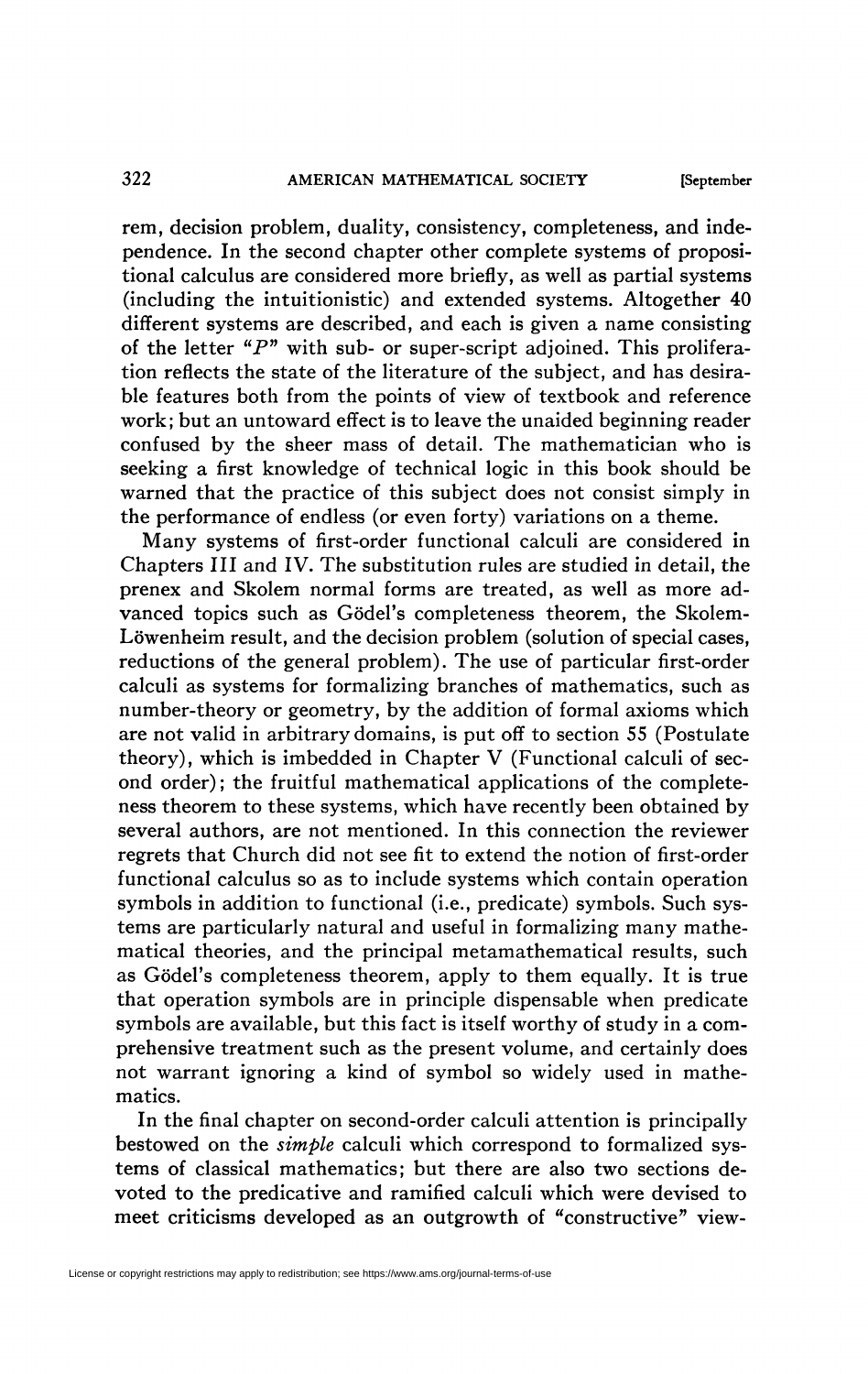rem, decision problem, duality, consistency, completeness, and independence. In the second chapter other complete systems of propositional calculus are considered more briefly, as well as partial systems (including the intuitionistic) and extended systems. Altogether 40 different systems are described, and each is given a name consisting of the letter "P" with sub- or super-script adjoined. This proliferation reflects the state of the literature of the subject, and has desirable features both from the points of view of textbook and reference work; but an untoward effect is to leave the unaided beginning reader confused by the sheer mass of detail. The mathematician who is seeking a first knowledge of technical logic in this book should be warned that the practice of this subject does not consist simply in the performance of endless (or even forty) variations on a theme.

Many systems of first-order functional calculi are considered in Chapters III and IV. The substitution rules are studied in detail, the prenex and Skolem normal forms are treated, as well as more advanced topics such as Gödel's completeness theorem, the Skolem-Löwenheim result, and the decision problem (solution of special cases, reductions of the general problem). The use of particular first-order calculi as systems for formalizing branches of mathematics, such as number-theory or geometry, by the addition of formal axioms which are not valid in arbitrary domains, is put off to section 55 (Postulate theory), which is imbedded in Chapter V (Functional calculi of second order); the fruitful mathematical applications of the completeness theorem to these systems, which have recently been obtained by several authors, are not mentioned. In this connection the reviewer regrets that Church did not see fit to extend the notion of first-order functional calculus so as to include systems which contain operation symbols in addition to functional (i.e., predicate) symbols. Such systems are particularly natural and useful in formalizing many mathematical theories, and the principal metamathematical results, such as Gödel's completeness theorem, apply to them equally. It is true that operation symbols are in principle dispensable when predicate symbols are available, but this fact is itself worthy of study in a comprehensive treatment such as the present volume, and certainly does not warrant ignoring a kind of symbol so widely used in mathematics.

In the final chapter on second-order calculi attention is principally bestowed on the *simple* calculi which correspond to formalized systems of classical mathematics; but there are also two sections devoted to the predicative and ramified calculi which were devised to meet criticisms developed as an outgrowth of "constructive" view